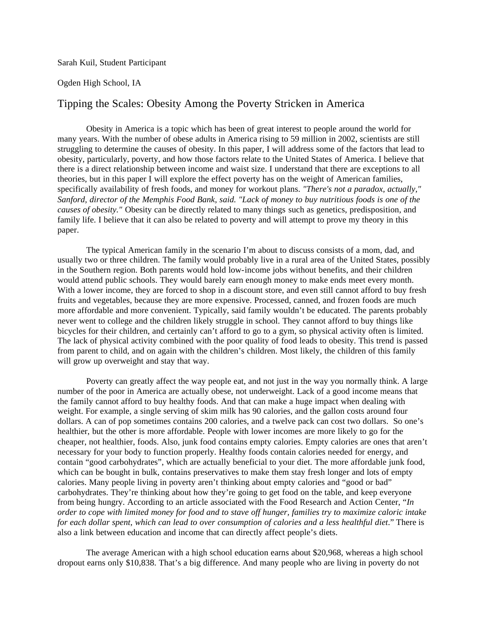Sarah Kuil, Student Participant

## Ogden High School, IA

## Tipping the Scales: Obesity Among the Poverty Stricken in America

Obesity in America is a topic which has been of great interest to people around the world for many years. With the number of obese adults in America rising to 59 million in 2002, scientists are still struggling to determine the causes of obesity. In this paper, I will address some of the factors that lead to obesity, particularly, poverty, and how those factors relate to the United States of America. I believe that there is a direct relationship between income and waist size. I understand that there are exceptions to all theories, but in this paper I will explore the effect poverty has on the weight of American families, specifically availability of fresh foods, and money for workout plans. *"There's not a paradox, actually," Sanford, director of the Memphis Food Bank, said. "Lack of money to buy nutritious foods is one of the causes of obesity."* Obesity can be directly related to many things such as genetics, predisposition, and family life. I believe that it can also be related to poverty and will attempt to prove my theory in this paper.

The typical American family in the scenario I'm about to discuss consists of a mom, dad, and usually two or three children. The family would probably live in a rural area of the United States, possibly in the Southern region. Both parents would hold low-income jobs without benefits, and their children would attend public schools. They would barely earn enough money to make ends meet every month. With a lower income, they are forced to shop in a discount store, and even still cannot afford to buy fresh fruits and vegetables, because they are more expensive. Processed, canned, and frozen foods are much more affordable and more convenient. Typically, said family wouldn't be educated. The parents probably never went to college and the children likely struggle in school. They cannot afford to buy things like bicycles for their children, and certainly can't afford to go to a gym, so physical activity often is limited. The lack of physical activity combined with the poor quality of food leads to obesity. This trend is passed from parent to child, and on again with the children's children. Most likely, the children of this family will grow up overweight and stay that way.

Poverty can greatly affect the way people eat, and not just in the way you normally think. A large number of the poor in America are actually obese, not underweight. Lack of a good income means that the family cannot afford to buy healthy foods. And that can make a huge impact when dealing with weight. For example, a single serving of skim milk has 90 calories, and the gallon costs around four dollars. A can of pop sometimes contains 200 calories, and a twelve pack can cost two dollars. So one's healthier, but the other is more affordable. People with lower incomes are more likely to go for the cheaper, not healthier, foods. Also, junk food contains empty calories. Empty calories are ones that aren't necessary for your body to function properly. Healthy foods contain calories needed for energy, and contain "good carbohydrates", which are actually beneficial to your diet. The more affordable junk food, which can be bought in bulk, contains preservatives to make them stay fresh longer and lots of empty calories. Many people living in poverty aren't thinking about empty calories and "good or bad" carbohydrates. They're thinking about how they're going to get food on the table, and keep everyone from being hungry. According to an article associated with the Food Research and Action Center, "*In order to cope with limited money for food and to stave off hunger, families try to maximize caloric intake for each dollar spent, which can lead to over consumption of calories and a less healthful diet*." There is also a link between education and income that can directly affect people's diets.

The average American with a high school education earns about \$20,968, whereas a high school dropout earns only \$10,838. That's a big difference. And many people who are living in poverty do not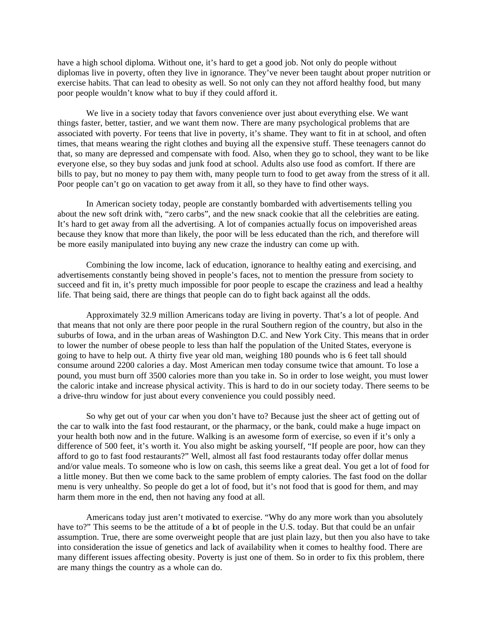have a high school diploma. Without one, it's hard to get a good job. Not only do people without diplomas live in poverty, often they live in ignorance. They've never been taught about proper nutrition or exercise habits. That can lead to obesity as well. So not only can they not afford healthy food, but many poor people wouldn't know what to buy if they could afford it.

We live in a society today that favors convenience over just about everything else. We want things faster, better, tastier, and we want them now. There are many psychological problems that are associated with poverty. For teens that live in poverty, it's shame. They want to fit in at school, and often times, that means wearing the right clothes and buying all the expensive stuff. These teenagers cannot do that, so many are depressed and compensate with food. Also, when they go to school, they want to be like everyone else, so they buy sodas and junk food at school. Adults also use food as comfort. If there are bills to pay, but no money to pay them with, many people turn to food to get away from the stress of it all. Poor people can't go on vacation to get away from it all, so they have to find other ways.

In American society today, people are constantly bombarded with advertisements telling you about the new soft drink with, "zero carbs", and the new snack cookie that all the celebrities are eating. It's hard to get away from all the advertising. A lot of companies actually focus on impoverished areas because they know that more than likely, the poor will be less educated than the rich, and therefore will be more easily manipulated into buying any new craze the industry can come up with.

Combining the low income, lack of education, ignorance to healthy eating and exercising, and advertisements constantly being shoved in people's faces, not to mention the pressure from society to succeed and fit in, it's pretty much impossible for poor people to escape the craziness and lead a healthy life. That being said, there are things that people can do to fight back against all the odds.

Approximately 32.9 million Americans today are living in poverty. That's a lot of people. And that means that not only are there poor people in the rural Southern region of the country, but also in the suburbs of Iowa, and in the urban areas of Washington D.C. and New York City. This means that in order to lower the number of obese people to less than half the population of the United States, everyone is going to have to help out. A thirty five year old man, weighing 180 pounds who is 6 feet tall should consume around 2200 calories a day. Most American men today consume twice that amount. To lose a pound, you must burn off 3500 calories more than you take in. So in order to lose weight, you must lower the caloric intake and increase physical activity. This is hard to do in our society today. There seems to be a drive-thru window for just about every convenience you could possibly need.

So why get out of your car when you don't have to? Because just the sheer act of getting out of the car to walk into the fast food restaurant, or the pharmacy, or the bank, could make a huge impact on your health both now and in the future. Walking is an awesome form of exercise, so even if it's only a difference of 500 feet, it's worth it. You also might be asking yourself, "If people are poor, how can they afford to go to fast food restaurants?" Well, almost all fast food restaurants today offer dollar menus and/or value meals. To someone who is low on cash, this seems like a great deal. You get a lot of food for a little money. But then we come back to the same problem of empty calories. The fast food on the dollar menu is very unhealthy. So people do get a lot of food, but it's not food that is good for them, and may harm them more in the end, then not having any food at all.

Americans today just aren't motivated to exercise. "Why do any more work than you absolutely have to?" This seems to be the attitude of a bt of people in the U.S. today. But that could be an unfair assumption. True, there are some overweight people that are just plain lazy, but then you also have to take into consideration the issue of genetics and lack of availability when it comes to healthy food. There are many different issues affecting obesity. Poverty is just one of them. So in order to fix this problem, there are many things the country as a whole can do.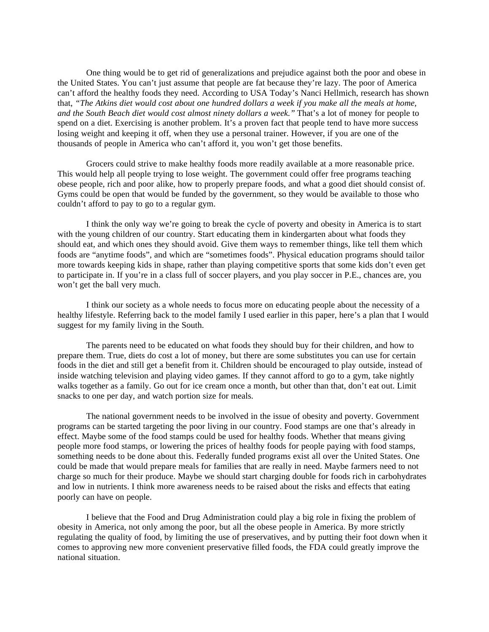One thing would be to get rid of generalizations and prejudice against both the poor and obese in the United States. You can't just assume that people are fat because they're lazy. The poor of America can't afford the healthy foods they need. According to USA Today's Nanci Hellmich, research has shown that, *"The Atkins diet would cost about one hundred dollars a week if you make all the meals at home, and the South Beach diet would cost almost ninety dollars a week."* That's a lot of money for people to spend on a diet. Exercising is another problem. It's a proven fact that people tend to have more success losing weight and keeping it off, when they use a personal trainer. However, if you are one of the thousands of people in America who can't afford it, you won't get those benefits.

Grocers could strive to make healthy foods more readily available at a more reasonable price. This would help all people trying to lose weight. The government could offer free programs teaching obese people, rich and poor alike, how to properly prepare foods, and what a good diet should consist of. Gyms could be open that would be funded by the government, so they would be available to those who couldn't afford to pay to go to a regular gym.

I think the only way we're going to break the cycle of poverty and obesity in America is to start with the young children of our country. Start educating them in kindergarten about what foods they should eat, and which ones they should avoid. Give them ways to remember things, like tell them which foods are "anytime foods", and which are "sometimes foods". Physical education programs should tailor more towards keeping kids in shape, rather than playing competitive sports that some kids don't even get to participate in. If you're in a class full of soccer players, and you play soccer in P.E., chances are, you won't get the ball very much.

I think our society as a whole needs to focus more on educating people about the necessity of a healthy lifestyle. Referring back to the model family I used earlier in this paper, here's a plan that I would suggest for my family living in the South.

The parents need to be educated on what foods they should buy for their children, and how to prepare them. True, diets do cost a lot of money, but there are some substitutes you can use for certain foods in the diet and still get a benefit from it. Children should be encouraged to play outside, instead of inside watching television and playing video games. If they cannot afford to go to a gym, take nightly walks together as a family. Go out for ice cream once a month, but other than that, don't eat out. Limit snacks to one per day, and watch portion size for meals.

The national government needs to be involved in the issue of obesity and poverty. Government programs can be started targeting the poor living in our country. Food stamps are one that's already in effect. Maybe some of the food stamps could be used for healthy foods. Whether that means giving people more food stamps, or lowering the prices of healthy foods for people paying with food stamps, something needs to be done about this. Federally funded programs exist all over the United States. One could be made that would prepare meals for families that are really in need. Maybe farmers need to not charge so much for their produce. Maybe we should start charging double for foods rich in carbohydrates and low in nutrients. I think more awareness needs to be raised about the risks and effects that eating poorly can have on people.

I believe that the Food and Drug Administration could play a big role in fixing the problem of obesity in America, not only among the poor, but all the obese people in America. By more strictly regulating the quality of food, by limiting the use of preservatives, and by putting their foot down when it comes to approving new more convenient preservative filled foods, the FDA could greatly improve the national situation.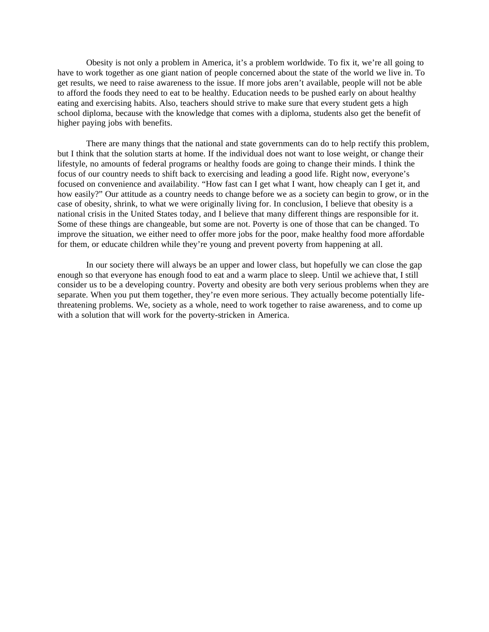Obesity is not only a problem in America, it's a problem worldwide. To fix it, we're all going to have to work together as one giant nation of people concerned about the state of the world we live in. To get results, we need to raise awareness to the issue. If more jobs aren't available, people will not be able to afford the foods they need to eat to be healthy. Education needs to be pushed early on about healthy eating and exercising habits. Also, teachers should strive to make sure that every student gets a high school diploma, because with the knowledge that comes with a diploma, students also get the benefit of higher paying jobs with benefits.

There are many things that the national and state governments can do to help rectify this problem, but I think that the solution starts at home. If the individual does not want to lose weight, or change their lifestyle, no amounts of federal programs or healthy foods are going to change their minds. I think the focus of our country needs to shift back to exercising and leading a good life. Right now, everyone's focused on convenience and availability. "How fast can I get what I want, how cheaply can I get it, and how easily?" Our attitude as a country needs to change before we as a society can begin to grow, or in the case of obesity, shrink, to what we were originally living for. In conclusion, I believe that obesity is a national crisis in the United States today, and I believe that many different things are responsible for it. Some of these things are changeable, but some are not. Poverty is one of those that can be changed. To improve the situation, we either need to offer more jobs for the poor, make healthy food more affordable for them, or educate children while they're young and prevent poverty from happening at all.

In our society there will always be an upper and lower class, but hopefully we can close the gap enough so that everyone has enough food to eat and a warm place to sleep. Until we achieve that, I still consider us to be a developing country. Poverty and obesity are both very serious problems when they are separate. When you put them together, they're even more serious. They actually become potentially lifethreatening problems. We, society as a whole, need to work together to raise awareness, and to come up with a solution that will work for the poverty-stricken in America.